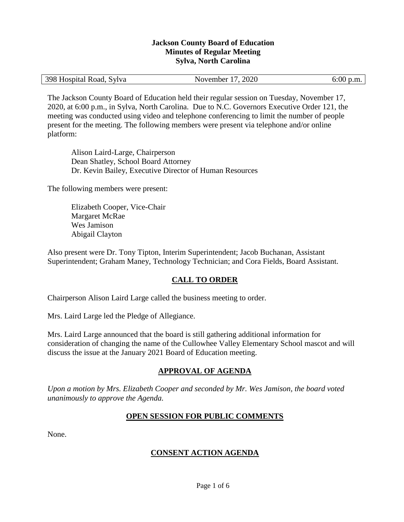#### **Jackson County Board of Education Minutes of Regular Meeting Sylva, North Carolina**

| 398 Hospital Road, Sylva | November 17, 2020 | $6:00$ p.m. |
|--------------------------|-------------------|-------------|
|--------------------------|-------------------|-------------|

The Jackson County Board of Education held their regular session on Tuesday, November 17, 2020, at 6:00 p.m., in Sylva, North Carolina. Due to N.C. Governors Executive Order 121, the meeting was conducted using video and telephone conferencing to limit the number of people present for the meeting. The following members were present via telephone and/or online platform:

Alison Laird-Large, Chairperson Dean Shatley, School Board Attorney Dr. Kevin Bailey, Executive Director of Human Resources

The following members were present:

Elizabeth Cooper, Vice-Chair Margaret McRae Wes Jamison Abigail Clayton

Also present were Dr. Tony Tipton, Interim Superintendent; Jacob Buchanan, Assistant Superintendent; Graham Maney, Technology Technician; and Cora Fields, Board Assistant.

# **CALL TO ORDER**

Chairperson Alison Laird Large called the business meeting to order.

Mrs. Laird Large led the Pledge of Allegiance.

Mrs. Laird Large announced that the board is still gathering additional information for consideration of changing the name of the Cullowhee Valley Elementary School mascot and will discuss the issue at the January 2021 Board of Education meeting.

# **APPROVAL OF AGENDA**

*Upon a motion by Mrs. Elizabeth Cooper and seconded by Mr. Wes Jamison, the board voted unanimously to approve the Agenda.*

# **OPEN SESSION FOR PUBLIC COMMENTS**

None.

# **CONSENT ACTION AGENDA**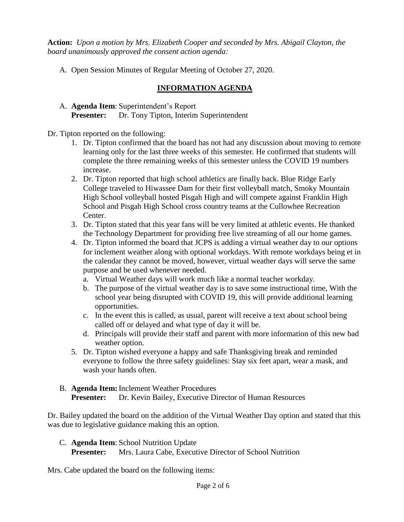**Action:** *Upon a motion by Mrs. Elizabeth Cooper and seconded by Mrs. Abigail Clayton, the board unanimously approved the consent action agenda:*

A. Open Session Minutes of Regular Meeting of October 27, 2020.

# **INFORMATION AGENDA**

A. **Agenda Item**: Superintendent's Report **Presenter:** Dr. Tony Tipton, Interim Superintendent

Dr. Tipton reported on the following:

- 1. Dr. Tipton confirmed that the board has not had any discussion about moving to remote learning only for the last three weeks of this semester. He confirmed that students will complete the three remaining weeks of this semester unless the COVID 19 numbers increase.
- 2. Dr. Tipton reported that high school athletics are finally back. Blue Ridge Early College traveled to Hiwassee Dam for their first volleyball match, Smoky Mountain High School volleyball hosted Pisgah High and will compete against Franklin High School and Pisgah High School cross country teams at the Cullowhee Recreation Center.
- 3. Dr. Tipton stated that this year fans will be very limited at athletic events. He thanked the Technology Department for providing free live streaming of all our home games.
- 4. Dr. Tipton informed the board that JCPS is adding a virtual weather day to our options for inclement weather along with optional workdays. With remote workdays being et in the calendar they cannot be moved, however, virtual weather days will serve the same purpose and be used whenever needed.
	- a. Virtual Weather days will work much like a normal teacher workday.
	- b. The purpose of the virtual weather day is to save some instructional time, With the school year being disrupted with COVID 19, this will provide additional learning opportunities.
	- c. In the event this is called, as usual, parent will receive a text about school being called off or delayed and what type of day it will be.
	- d. Principals will provide their staff and parent with more information of this new bad weather option.
- 5. Dr. Tipton wished everyone a happy and safe Thanksgiving break and reminded everyone to follow the three safety guidelines: Stay six feet apart, wear a mask, and wash your hands often.
- B. **Agenda Item:**Inclement Weather Procedures **Presenter:** Dr. Kevin Bailey, Executive Director of Human Resources

Dr. Bailey updated the board on the addition of the Virtual Weather Day option and stated that this was due to legislative guidance making this an option.

# C. **Agenda Item**: School Nutrition Update

**Presenter:** Mrs. Laura Cabe, Executive Director of School Nutrition

Mrs. Cabe updated the board on the following items: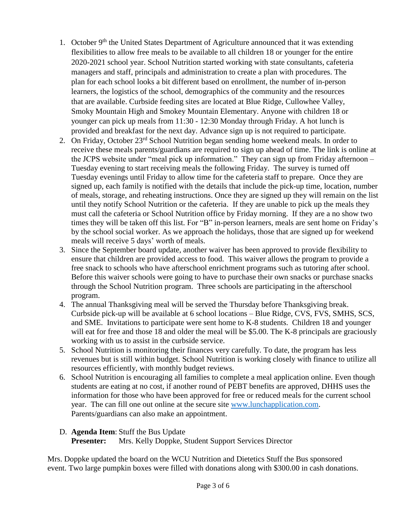- 1. October 9<sup>th</sup> the United States Department of Agriculture announced that it was extending flexibilities to allow free meals to be available to all children 18 or younger for the entire 2020-2021 school year. School Nutrition started working with state consultants, cafeteria managers and staff, principals and administration to create a plan with procedures. The plan for each school looks a bit different based on enrollment, the number of in-person learners, the logistics of the school, demographics of the community and the resources that are available. Curbside feeding sites are located at Blue Ridge, Cullowhee Valley, Smoky Mountain High and Smokey Mountain Elementary. Anyone with children 18 or younger can pick up meals from 11:30 - 12:30 Monday through Friday. A hot lunch is provided and breakfast for the next day. Advance sign up is not required to participate.
- 2. On Friday, October 23<sup>rd</sup> School Nutrition began sending home weekend meals. In order to receive these meals parents/guardians are required to sign up ahead of time. The link is online at the JCPS website under "meal pick up information." They can sign up from Friday afternoon – Tuesday evening to start receiving meals the following Friday. The survey is turned off Tuesday evenings until Friday to allow time for the cafeteria staff to prepare. Once they are signed up, each family is notified with the details that include the pick-up time, location, number of meals, storage, and reheating instructions. Once they are signed up they will remain on the list until they notify School Nutrition or the cafeteria. If they are unable to pick up the meals they must call the cafeteria or School Nutrition office by Friday morning. If they are a no show two times they will be taken off this list. For "B" in-person learners, meals are sent home on Friday's by the school social worker. As we approach the holidays, those that are signed up for weekend meals will receive 5 days' worth of meals.
- 3. Since the September board update, another waiver has been approved to provide flexibility to ensure that children are provided access to food. This waiver allows the program to provide a free snack to schools who have afterschool enrichment programs such as tutoring after school. Before this waiver schools were going to have to purchase their own snacks or purchase snacks through the School Nutrition program. Three schools are participating in the afterschool program.
- 4. The annual Thanksgiving meal will be served the Thursday before Thanksgiving break. Curbside pick-up will be available at 6 school locations – Blue Ridge, CVS, FVS, SMHS, SCS, and SME. Invitations to participate were sent home to K-8 students. Children 18 and younger will eat for free and those 18 and older the meal will be \$5.00. The K-8 principals are graciously working with us to assist in the curbside service.
- 5. School Nutrition is monitoring their finances very carefully. To date, the program has less revenues but is still within budget. School Nutrition is working closely with finance to utilize all resources efficiently, with monthly budget reviews.
- 6. School Nutrition is encouraging all families to complete a meal application online. Even though students are eating at no cost, if another round of PEBT benefits are approved, DHHS uses the information for those who have been approved for free or reduced meals for the current school year. The can fill one out online at the secure site [www.lunchapplication.com.](http://www.lunchapplication.com/) Parents/guardians can also make an appointment.

# D. **Agenda Item**: Stuff the Bus Update

**Presenter:** Mrs. Kelly Doppke, Student Support Services Director

Mrs. Doppke updated the board on the WCU Nutrition and Dietetics Stuff the Bus sponsored event. Two large pumpkin boxes were filled with donations along with \$300.00 in cash donations.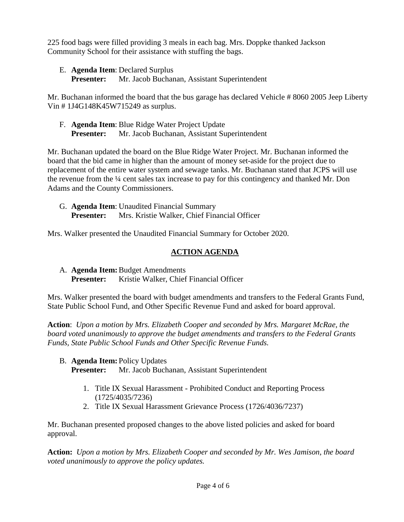225 food bags were filled providing 3 meals in each bag. Mrs. Doppke thanked Jackson Community School for their assistance with stuffing the bags.

E. **Agenda Item**: Declared Surplus

**Presenter:** Mr. Jacob Buchanan, Assistant Superintendent

Mr. Buchanan informed the board that the bus garage has declared Vehicle # 8060 2005 Jeep Liberty Vin # 1J4G148K45W715249 as surplus.

F. **Agenda Item**: Blue Ridge Water Project Update **Presenter:** Mr. Jacob Buchanan, Assistant Superintendent

Mr. Buchanan updated the board on the Blue Ridge Water Project. Mr. Buchanan informed the board that the bid came in higher than the amount of money set-aside for the project due to replacement of the entire water system and sewage tanks. Mr. Buchanan stated that JCPS will use the revenue from the ¼ cent sales tax increase to pay for this contingency and thanked Mr. Don Adams and the County Commissioners.

G. **Agenda Item**: Unaudited Financial Summary **Presenter:** Mrs. Kristie Walker, Chief Financial Officer

Mrs. Walker presented the Unaudited Financial Summary for October 2020.

# **ACTION AGENDA**

A. **Agenda Item:**Budget Amendments Presenter: Kristie Walker, Chief Financial Officer

Mrs. Walker presented the board with budget amendments and transfers to the Federal Grants Fund, State Public School Fund, and Other Specific Revenue Fund and asked for board approval.

**Action**: *Upon a motion by Mrs. Elizabeth Cooper and seconded by Mrs. Margaret McRae, the board voted unanimously to approve the budget amendments and transfers to the Federal Grants Funds, State Public School Funds and Other Specific Revenue Funds.*

B. **Agenda Item:** Policy Updates

**Presenter:** Mr. Jacob Buchanan, Assistant Superintendent

- 1. Title IX Sexual Harassment Prohibited Conduct and Reporting Process (1725/4035/7236)
- 2. Title IX Sexual Harassment Grievance Process (1726/4036/7237)

Mr. Buchanan presented proposed changes to the above listed policies and asked for board approval.

**Action:** *Upon a motion by Mrs. Elizabeth Cooper and seconded by Mr. Wes Jamison, the board voted unanimously to approve the policy updates.*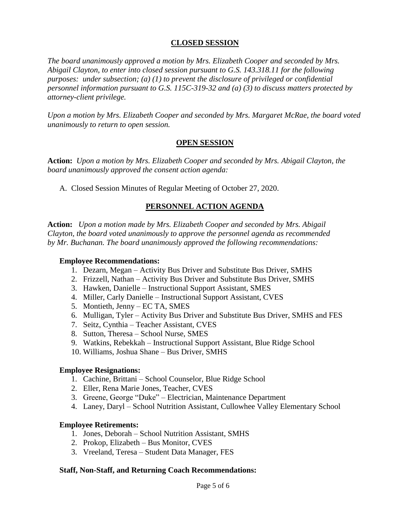#### **CLOSED SESSION**

*The board unanimously approved a motion by Mrs. Elizabeth Cooper and seconded by Mrs. Abigail Clayton, to enter into closed session pursuant to G.S. 143.318.11 for the following purposes: under subsection; (a) (1) to prevent the disclosure of privileged or confidential personnel information pursuant to G.S. 115C-319-32 and (a) (3) to discuss matters protected by attorney-client privilege.* 

*Upon a motion by Mrs. Elizabeth Cooper and seconded by Mrs. Margaret McRae, the board voted unanimously to return to open session.*

#### **OPEN SESSION**

**Action:** *Upon a motion by Mrs. Elizabeth Cooper and seconded by Mrs. Abigail Clayton, the board unanimously approved the consent action agenda:*

A. Closed Session Minutes of Regular Meeting of October 27, 2020.

# **PERSONNEL ACTION AGENDA**

**Action:** *Upon a motion made by Mrs. Elizabeth Cooper and seconded by Mrs. Abigail Clayton, the board voted unanimously to approve the personnel agenda as recommended by Mr. Buchanan. The board unanimously approved the following recommendations:*

#### **Employee Recommendations:**

- 1. Dezarn, Megan Activity Bus Driver and Substitute Bus Driver, SMHS
- 2. Frizzell, Nathan Activity Bus Driver and Substitute Bus Driver, SMHS
- 3. Hawken, Danielle Instructional Support Assistant, SMES
- 4. Miller, Carly Danielle Instructional Support Assistant, CVES
- 5. Montieth, Jenny EC TA, SMES
- 6. Mulligan, Tyler Activity Bus Driver and Substitute Bus Driver, SMHS and FES
- 7. Seitz, Cynthia Teacher Assistant, CVES
- 8. Sutton, Theresa School Nurse, SMES
- 9. Watkins, Rebekkah Instructional Support Assistant, Blue Ridge School
- 10. Williams, Joshua Shane Bus Driver, SMHS

#### **Employee Resignations:**

- 1. Cachine, Brittani School Counselor, Blue Ridge School
- 2. Eller, Rena Marie Jones, Teacher, CVES
- 3. Greene, George "Duke" Electrician, Maintenance Department
- 4. Laney, Daryl School Nutrition Assistant, Cullowhee Valley Elementary School

#### **Employee Retirements:**

- 1. Jones, Deborah School Nutrition Assistant, SMHS
- 2. Prokop, Elizabeth Bus Monitor, CVES
- 3. Vreeland, Teresa Student Data Manager, FES

#### **Staff, Non-Staff, and Returning Coach Recommendations:**